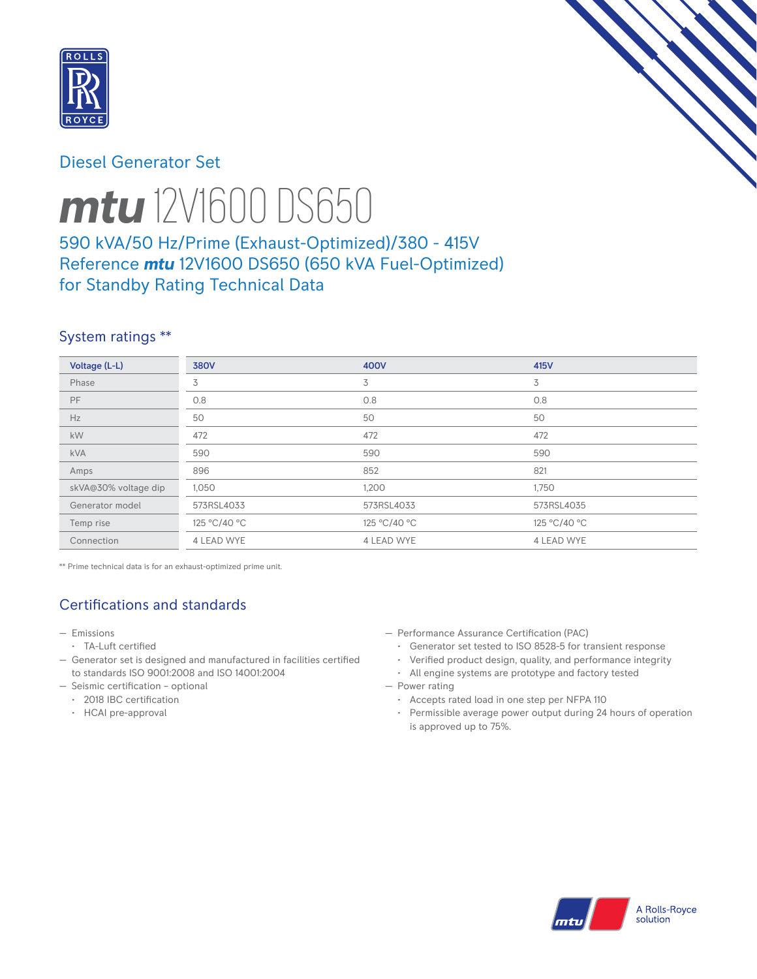

# Diesel Generator Set



# *mtu* 12V1600 DS650

# 590 kVA/50 Hz/Prime (Exhaust-Optimized)/380 - 415V Reference *mtu* 12V1600 DS650 (650 kVA Fuel-Optimized) for Standby Rating Technical Data

# System ratings \*\*

| Voltage (L-L)        | <b>380V</b>       | 400V              | 415V         |
|----------------------|-------------------|-------------------|--------------|
| Phase                | 3                 | 3                 | 3            |
| <b>PF</b>            | 0.8               | 0.8               | 0.8          |
| Hz                   | 50                | 50                | 50           |
| kW                   | 472               | 472               | 472          |
| <b>kVA</b>           | 590               | 590               | 590          |
| Amps                 | 896               | 852               | 821          |
| skVA@30% voltage dip | 1,050             | 1,200             | 1,750        |
| Generator model      | 573RSL4033        | 573RSL4033        | 573RSL4035   |
| Temp rise            | 125 °C/40 °C      | 125 °C/40 °C      | 125 °C/40 °C |
| Connection           | <b>4 LEAD WYE</b> | <b>4 LEAD WYE</b> | 4 LEAD WYE   |

\*\* Prime technical data is for an exhaust-optimized prime unit.

# Certifications and standards

- Emissions
- TA-Luft certified
- Generator set is designed and manufactured in facilities certified to standards ISO 9001:2008 and ISO 14001:2004
- Seismic certification optional
	- 2018 IBC certification
	- HCAI pre-approval
- Performance Assurance Certification (PAC)
	- Generator set tested to ISO 8528-5 for transient response
	- Verified product design, quality, and performance integrity
- All engine systems are prototype and factory tested — Power rating
	- Accepts rated load in one step per NFPA 110
	- Permissible average power output during 24 hours of operation is approved up to 75%.

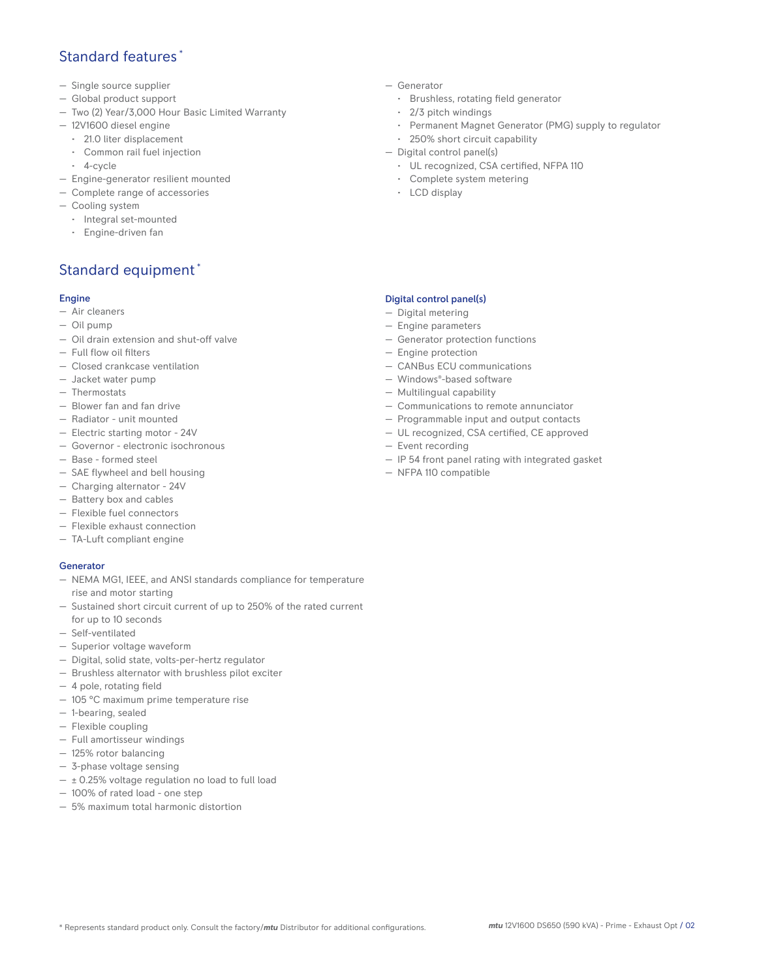## Standard features \*

- Single source supplier
- Global product support
- Two (2) Year/3,000 Hour Basic Limited Warranty
- 12V1600 diesel engine
	- 21.0 liter displacement
	- Common rail fuel injection
	- 4-cycle
- Engine-generator resilient mounted
- Complete range of accessories
- Cooling system
- Integral set-mounted
	- Engine-driven fan

# Standard equipment \*

#### Engine

- Air cleaners
- Oil pump
- Oil drain extension and shut-off valve
- Full flow oil filters
- Closed crankcase ventilation
- Jacket water pump
- Thermostats
- Blower fan and fan drive
- Radiator unit mounted
- Electric starting motor 24V
- Governor electronic isochronous
- Base formed steel
- SAE flywheel and bell housing
- Charging alternator 24V
- Battery box and cables
- Flexible fuel connectors
- Flexible exhaust connection
- TA-Luft compliant engine

#### **Generator**

- NEMA MG1, IEEE, and ANSI standards compliance for temperature rise and motor starting
- Sustained short circuit current of up to 250% of the rated current for up to 10 seconds
- Self-ventilated
- Superior voltage waveform
- Digital, solid state, volts-per-hertz regulator
- Brushless alternator with brushless pilot exciter
- 4 pole, rotating field
- 105 °C maximum prime temperature rise
- 1-bearing, sealed
- Flexible coupling
- Full amortisseur windings
- 125% rotor balancing
- 3-phase voltage sensing
- $\pm$  0.25% voltage regulation no load to full load
- 100% of rated load one step
- 5% maximum total harmonic distortion
- Generator
	- Brushless, rotating field generator
	- 2/3 pitch windings
	- Permanent Magnet Generator (PMG) supply to regulator
- 250% short circuit capability
- Digital control panel(s)
	- UL recognized, CSA certified, NFPA 110
	- Complete system metering
	- LCD display

## Digital control panel(s)

- Digital metering
- Engine parameters
- Generator protection functions
- Engine protection
- CANBus ECU communications
- Windows®-based software
- Multilingual capability
- Communications to remote annunciator
- Programmable input and output contacts
- UL recognized, CSA certified, CE approved
- Event recording
- IP 54 front panel rating with integrated gasket
- NFPA 110 compatible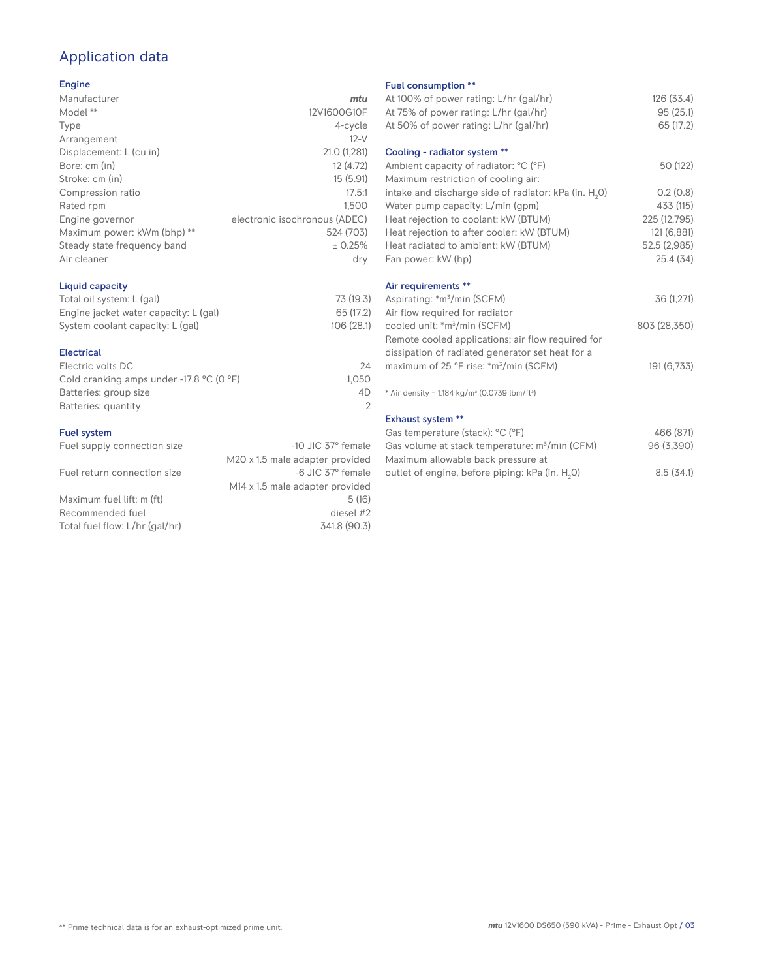# Application data

### Engine

| Manufacturer                | mtu                           |
|-----------------------------|-------------------------------|
| Model **                    | 12V1600G10F                   |
| Type                        | 4-cycle                       |
| Arrangement                 | $12-V$                        |
| Displacement: L (cu in)     | 21.0 (1,281)                  |
| Bore: cm (in)               | 12 (4.72)                     |
| Stroke: cm (in)             | 15(5.91)                      |
| Compression ratio           | 17.5:1                        |
| Rated rpm                   | 1.500                         |
| Engine governor             | electronic isochronous (ADEC) |
| Maximum power: kWm (bhp) ** | 524 (703)                     |
| Steady state frequency band | ± 0.25%                       |
| Air cleaner                 | dry                           |
|                             |                               |

## Liquid capacity

| Total oil system: L (gal)             | 73 (19.3)  |
|---------------------------------------|------------|
| Engine jacket water capacity: L (gal) | 65 (17.2)  |
| System coolant capacity: L (gal)      | 106 (28.1) |

#### Electrical

| 24    |
|-------|
| 1.050 |
| 4D    |
|       |
|       |

# **Fuel system**<br>Fuel supply

| <b>FUEL SYSTEM</b>             |                                             |
|--------------------------------|---------------------------------------------|
| Fuel supply connection size    | $-10$ JIC 37 $\degree$ female               |
|                                | M20 x 1.5 male adapter provided             |
| Fuel return connection size    | -6 JIC 37° female                           |
|                                | M <sub>14</sub> x 1.5 male adapter provided |
| Maximum fuel lift: m (ft)      | 5(16)                                       |
| Recommended fuel               | diesel #2                                   |
| Total fuel flow: L/hr (gal/hr) | 341.8 (90.3)                                |
|                                |                                             |

#### Fuel consumption \*\*

| <b>LUGL CONSUMPTION</b>                                              |              |
|----------------------------------------------------------------------|--------------|
| At 100% of power rating: L/hr (gal/hr)                               | 126 (33.4)   |
| At 75% of power rating: L/hr (gal/hr)                                | 95(25.1)     |
| At 50% of power rating: L/hr (gal/hr)                                | 65 (17.2)    |
|                                                                      |              |
| Cooling - radiator system **                                         |              |
| Ambient capacity of radiator: °C (°F)                                | 50 (122)     |
| Maximum restriction of cooling air:                                  |              |
| intake and discharge side of radiator: kPa (in. H <sub>2</sub> 0)    | 0.2(0.8)     |
| Water pump capacity: L/min (gpm)                                     | 433 (115)    |
| Heat rejection to coolant: kW (BTUM)                                 | 225 (12,795) |
| Heat rejection to after cooler: kW (BTUM)                            | 121 (6,881)  |
| Heat radiated to ambient: kW (BTUM)                                  | 52.5 (2,985) |
| Fan power: kW (hp)                                                   | 25.4 (34)    |
| Air requirements **                                                  |              |
| Aspirating: *m <sup>3</sup> /min (SCFM)                              | 36 (1,271)   |
| Air flow required for radiator                                       |              |
| cooled unit: *m <sup>3</sup> /min (SCFM)                             | 803 (28,350) |
| Remote cooled applications; air flow required for                    |              |
| dissipation of radiated generator set heat for a                     |              |
| maximum of 25 °F rise: *m <sup>3</sup> /min (SCFM)                   | 191 (6,733)  |
|                                                                      |              |
| * Air density = $1.184 \text{ kg/m}^3$ (0.0739 lbm/ft <sup>3</sup> ) |              |
| <b>Exhaust system **</b>                                             |              |
| Gas temperature (stack): °C (°F)                                     | 466 (871)    |
| Gas volume at stack temperature: m <sup>3</sup> /min (CFM)           | 96 (3,390)   |
| Maximum allowable back pressure at                                   |              |
|                                                                      |              |

outlet of engine, before piping: kPa (in.  $H_2$ 0)  $\hspace{1.6cm}8.5\ (34.1)$ 

|  |  | Primo tochnical data is for an exhaust-ontimized primo unit |  |
|--|--|-------------------------------------------------------------|--|